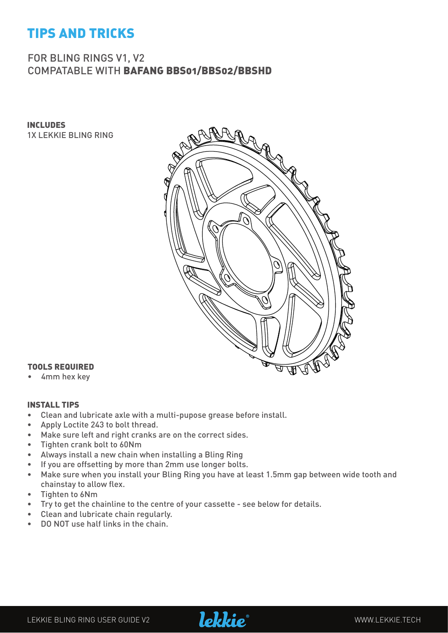### TIPS AND TRICKS

### FOR BLING RINGS V1, V2 COMPATABLE WITH BAFANG BBS01/BBS02/BBSHD

INCLUDES 1X LEKKIE BLING RING



#### TOOLS REQUIRED

• 4mm hex key

#### INSTALL TIPS

- • Clean and lubricate axle with a multi-pupose grease before install.
- Apply Loctite 243 to bolt thread.
- Make sure left and right cranks are on the correct sides.
- • Tighten crank bolt to 60Nm
- • Always install a new chain when installing a Bling Ring
- If you are offsetting by more than 2mm use longer bolts.
- Make sure when you install your Bling Ring you have at least 1.5mm gap between wide tooth and chainstay to allow flex.
- • Tighten to 6Nm
- Try to get the chainline to the centre of your cassette see below for details.
- • Clean and lubricate chain regularly.
- • DO NOT use half links in the chain.

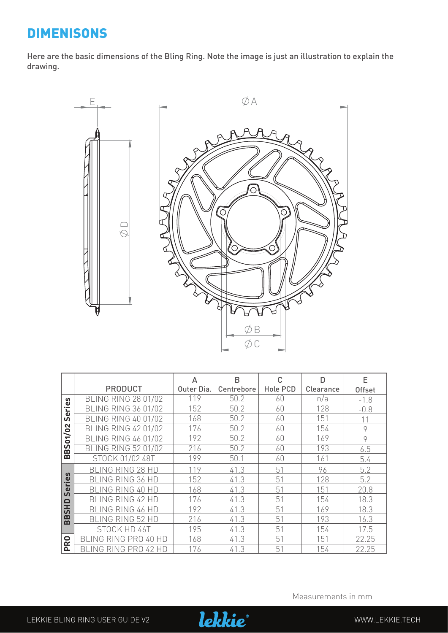## DIMENISONS

Here are the basic dimensions of the Bling Ring. Note the image is just an illustration to explain the drawing.



|                                                                                               |                             | А          | B          | C        | D         | E      |
|-----------------------------------------------------------------------------------------------|-----------------------------|------------|------------|----------|-----------|--------|
|                                                                                               | <b>PRODUCT</b>              | Outer Dia. | Centrebore | Hole PCD | Clearance | Offset |
| w<br>نه.<br>T<br>$\mathbf{v}$<br>ഗ<br>2g<br>╰<br>51<br>ഗ<br>≃                                 | <b>BLING RING 28 01/02</b>  | 119        | 50.2       | 60       | n/a       | $-1.8$ |
|                                                                                               | <b>BLING RING 36 01/02</b>  | 152        | 50.2       | 60       | 128       | $-0.8$ |
|                                                                                               | <b>BLING RING 40 01/02</b>  | 168        | 50.2       | 60       | 151       | 11     |
|                                                                                               | <b>BLING RING 42 01/02</b>  | 176        | 50.2       | 60       | 154       | 9      |
|                                                                                               | <b>BLING RING 46 01/02</b>  | 192        | 50.2       | 60       | 169       | 9      |
|                                                                                               | <b>BLING RING 52 01/02</b>  | 216        | 50.2       | 60       | 193       | 6.5    |
| മ                                                                                             | STOCK 01/02 48T             | 199        | 50.1       | 60       | 161       | 5.4    |
| <b>S</b><br>$\omega$<br>$\cdot =$<br>ω<br><u>ທ</u><br>o<br>ᆂ<br><u>ທ</u><br>m<br>$\mathbf{m}$ | <b>BLING RING 28 HD</b>     | 119        | 41.3       | 51       | 96        | 5.2    |
|                                                                                               | <b>BLING RING 36 HD</b>     | 152        | 41.3       | 51       | 128       | 5.2    |
|                                                                                               | <b>BLING RING 40 HD</b>     | 168        | 41.3       | 51       | 151       | 20.8   |
|                                                                                               | <b>BLING RING 42 HD</b>     | 176        | 41.3       | 51       | 154       | 18.3   |
|                                                                                               | <b>BLING RING 46 HD</b>     | 192        | 41.3       | 51       | 169       | 18.3   |
|                                                                                               | <b>BLING RING 52 HD</b>     | 216        | 41.3       | 51       | 193       | 16.3   |
|                                                                                               | STOCK HD 46T                | 195        | 41.3       | 51       | 154       | 17.5   |
| <b>Q</b>                                                                                      | <b>BLING RING PRO 40 HD</b> | 168        | 41.3       | 51       | 151       | 22.25  |
| ௳                                                                                             | BLING RING PRO 42 HD        | 176        | 41.3       | 51       | 154       | 22.25  |

Measurements in mm

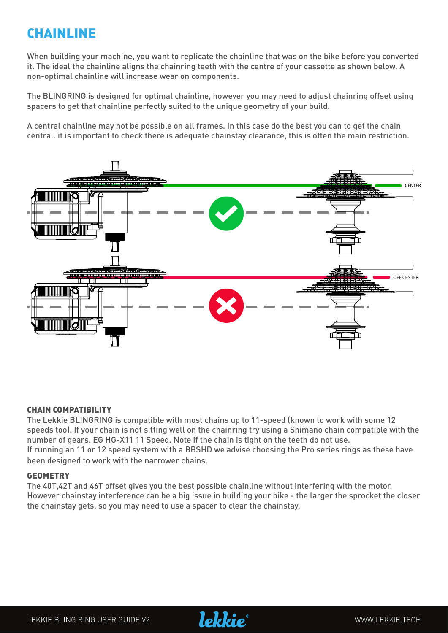# CHAINLINE

When building your machine, you want to replicate the chainline that was on the bike before you converted it. The ideal the chainline aligns the chainring teeth with the centre of your cassette as shown below. A non-optimal chainline will increase wear on components.

The BLINGRING is designed for optimal chainline, however you may need to adjust chainring offset using spacers to get that chainline perfectly suited to the unique geometry of your build.

A central chainline may not be possible on all frames. In this case do the best you can to get the chain central. it is important to check there is adequate chainstay clearance, this is often the main restriction.



#### CHAIN COMPATIBILITY

The Lekkie BLINGRING is compatible with most chains up to 11-speed (known to work with some 12 speeds too). If your chain is not sitting well on the chainring try using a Shimano chain compatible with the number of gears. EG HG-X11 11 Speed. Note if the chain is tight on the teeth do not use. If running an 11 or 12 speed system with a BBSHD we advise choosing the Pro series rings as these have been designed to work with the narrower chains.

#### GEOMETRY

The 40T,42T and 46T offset gives you the best possible chainline without interfering with the motor. However chainstay interference can be a big issue in building your bike - the larger the sprocket the closer the chainstay gets, so you may need to use a spacer to clear the chainstay.